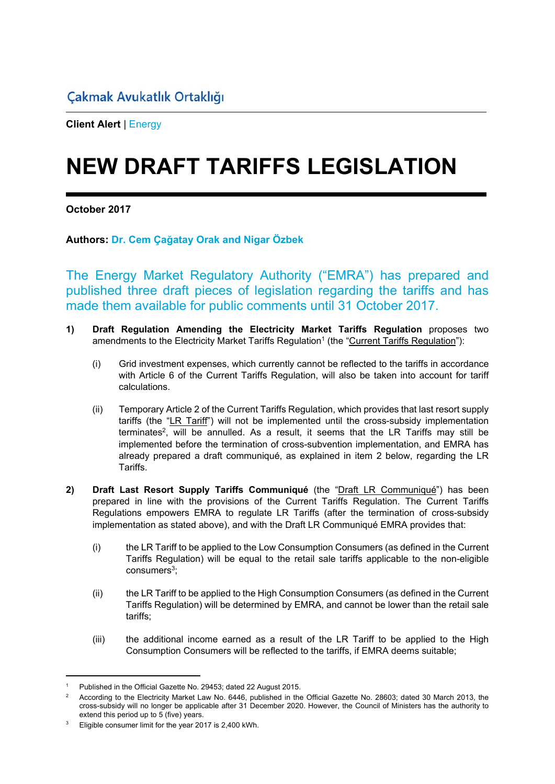**Client Alert** | Energy

## **NEW DRAFT TARIFFS LEGISLATION**

**October 2017** 

## **Authors: Dr. Cem Çağatay Orak and Nigar Özbek**

The Energy Market Regulatory Authority ("EMRA") has prepared and published three draft pieces of legislation regarding the tariffs and has made them available for public comments until 31 October 2017.

- **1) Draft Regulation Amending the Electricity Market Tariffs Regulation** proposes two amendments to the Electricity Market Tariffs Regulation<sup>1</sup> (the "Current Tariffs Regulation"):
	- (i) Grid investment expenses, which currently cannot be reflected to the tariffs in accordance with Article 6 of the Current Tariffs Regulation, will also be taken into account for tariff calculations.
	- (ii) Temporary Article 2 of the Current Tariffs Regulation, which provides that last resort supply tariffs (the "LR Tariff") will not be implemented until the cross-subsidy implementation terminates<sup>2</sup>, will be annulled. As a result, it seems that the LR Tariffs may still be implemented before the termination of cross-subvention implementation, and EMRA has already prepared a draft communiqué, as explained in item 2 below, regarding the LR Tariffs.
- **2) Draft Last Resort Supply Tariffs Communiqué** (the "Draft LR Communiqué") has been prepared in line with the provisions of the Current Tariffs Regulation. The Current Tariffs Regulations empowers EMRA to regulate LR Tariffs (after the termination of cross-subsidy implementation as stated above), and with the Draft LR Communiqué EMRA provides that:
	- (i) the LR Tariff to be applied to the Low Consumption Consumers (as defined in the Current Tariffs Regulation) will be equal to the retail sale tariffs applicable to the non-eligible  $consumes<sup>3</sup>$ ;
	- (ii) the LR Tariff to be applied to the High Consumption Consumers (as defined in the Current Tariffs Regulation) will be determined by EMRA, and cannot be lower than the retail sale tariffs;
	- (iii) the additional income earned as a result of the LR Tariff to be applied to the High Consumption Consumers will be reflected to the tariffs, if EMRA deems suitable;

<sup>1</sup> Published in the Official Gazette No. 29453; dated 22 August 2015.

<sup>2</sup> According to the Electricity Market Law No. 6446, published in the Official Gazette No. 28603; dated 30 March 2013, the cross-subsidy will no longer be applicable after 31 December 2020. However, the Council of Ministers has the authority to extend this period up to 5 (five) years.

<sup>3</sup> Eligible consumer limit for the year 2017 is 2,400 kWh.